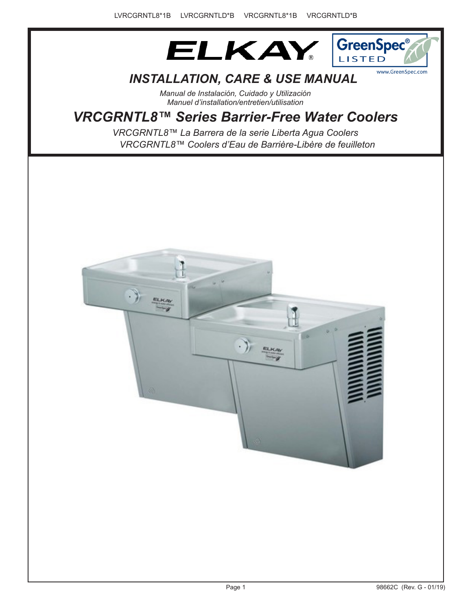



# *INSTALLATION, CARE & USE MANUAL*

*Manual de Instalación, Cuidado y Utilización Manuel d'installation/entretien/utilisation*

# *VRCGRNTL8™ Series Barrier-Free Water Coolers*

*VRCGRNTL8™ Coolers d'Eau de Barrière-Libère de feuilleton VRCGRNTL8™ La Barrera de la serie Liberta Agua Coolers*

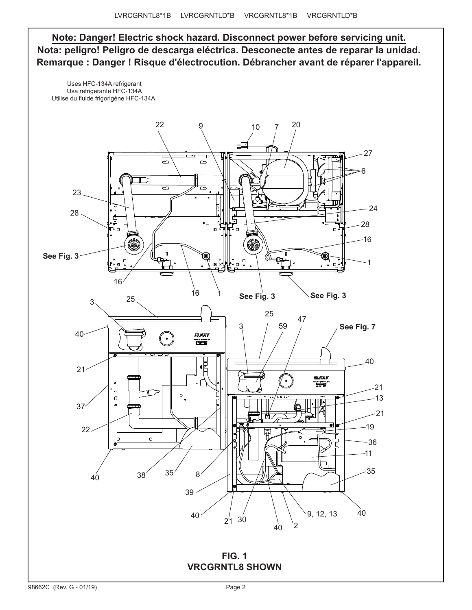**Note: Danger! Electric shock hazard. Disconnect power before servicing unit. Nota: peligro! Peligro de descarga eléctrica. Desconecte antes de reparar la unidad. Remarque : Danger ! Risque d'électrocution. Débrancher avant de réparer l'appareil.**

 Uses HFC-134A refrigerant Usa refrigerante HFC-134A Utilise du fluide frigorigéne HFC-134A



**FIG. 1 VRCGRNTL8 SHOWN**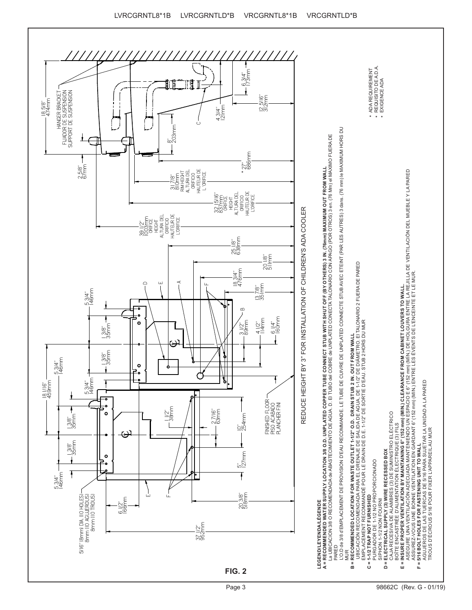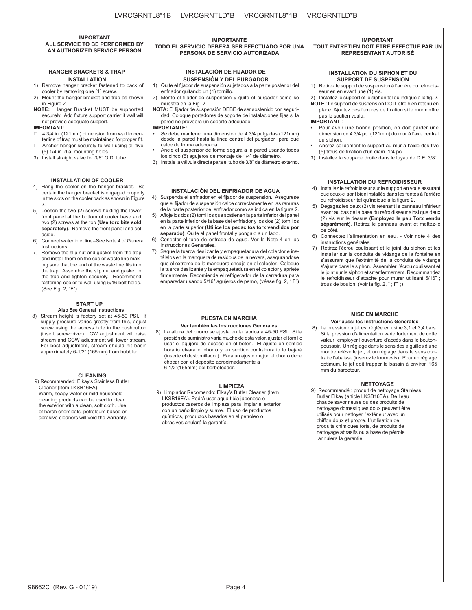**IMPORTANT ALL SERVICE TO BE PERFORMED BY AN AUTHORIZED SERVICE PERSON**

### **HANGER BRACKETS & TRAP INSTALLATION**

- 1) Remove hanger bracket fastened to back of cooler by removing one (1) screw.
- 2) Mount the hanger bracket and trap as shown in Figure 2.
- **NOTE:** Hanger Bracket MUST be supported securely. Add fixture support carrier if wall will not provide adequate support.

#### **IMPORTANT:**

- 4 3/4 in. (121mm) dimension from wall to centerline of trap must be maintained for proper fit.
- Anchor hanger securely to wall using all five (5) 1/4 in. dia. mounting holes.
- 3) Install straight valve for 3/8" O.D. tube.

#### **INSTALLATION OF COOLER**

- 4) Hang the cooler on the hanger bracket. Be certain the hanger bracket is engaged properly in the slots on the cooler back as shown in Figure 2.
- 5) Loosen the two (2) screws holding the lower front panel at the bottom of cooler base and two (2) screws at the top **(Use torx bits sold separately)**. Remove the front panel and set aside.
- 6) Connect water inlet line--See Note 4 of General Instructions.
- 7) Remove the slip nut and gasket from the trap and install them on the cooler waste line making sure that the end of the waste line fits into the trap. Assemble the slip nut and gasket to the trap and tighten securely. Recommend fastening cooler to wall using 5/16 bolt holes. (See Fig. 2, "F")

# **START UP**

**Also See General Instructions** 8) Stream height is factory set at 45-50 PSI. If supply pressure varies greatly from this, adjust screw using the access hole in the pushbutton (insert screwdriver). CW adjustment will raise stream and CCW adjustment will lower stream. For best adjustment, stream should hit basin approximately 6-1/2" (165mm) from bubbler.

#### **CLEANING**

9) Recommended: Elkay's Stainless Butler Cleaner (Item LKSB16EA). Warm, soapy water or mild household cleaning products can be used to clean the exterior with a clean, soft cloth. Use of harsh chemicals, petroleum based or abrasive cleaners will void the warranty.

#### **IMPORTANTE TODO EL SERVICIO DEBERÁ SER EFECTUADO POR UNA PERSONA DE SERVICIO AUTORIZADA**

# **INSTALACIÓN DE FIJADOR DE SUSPENSIÓN Y DEL PURGADOR**

1) Quite el fijador de suspensión sujetados a la parte posterior del enfriador quitando un (1) tornillo.

- 2) Monte el fijador de suspensión y quite el purgador como se muestra en la Fig. 2.
- **NOTA:** El fijador de suspensión DEBE de ser sostenido con seguridad. Coloque portadores de soporte de instalaciones fijas si la pared no proveerá un soporte adecuado.

**IMPORTANTE:**

- **•** Se debe mantener una dimensión de 4 3/4 pulgadas (121mm) desde la pared hasta la línea central del purgador para que calce de forma adecuada.
- **•** Ancle el suspensor de forma segura a la pared usando todos los cinco (5) agujeros de montaje de 1/4" de diámetro.
- 3) Instale la válvula directa para el tubo de 3/8" de diámetro externo.

# **INSTALACIÓN DEL ENFRIADOR DE AGUA**

4) Suspenda el enfriador en el fijador de suspensión. Asegúrese que el fijador de suspensión calce correctamente en las ranuras de la parte posterior del enfriador como se indica en la figura 2.

- 5) Afloje los dos (2) tornillos que sostienen la parte inferior del panel en la parte inferior de la base del enfriador y los dos (2) tornillos en la parte superior **(Utilice los pedacitos torx vendidos por separado)**. Quite el panel frontal y póngalo a un lado.
- 6) Conectar el tubo de entrada de agua. Ver la Nota 4 en las Instrucciones Generales.
- 7) Saque la tuerca deslizante y empaquetadura del colector e instálelos en la manquera de residous de la nevera, asequrándose que el extremo de la manquera encaje en el colector. Coloque la tuerca deslizante y la empaquetadura en el colector y apriete firmermente. Recomiende el refrigerador de la cerradura para emparedar usando 5/16" agujeros de perno, (véase fig. 2, " F")

# **PUESTA EN MARCHA**

#### **Ver también las Instrucciones Generales**

8) La altura del chorro se ajusta en la fábrica a 45-50 PSI. Si la presión de suministro varía mucho de esta valor, ajustar el tornillo usar el agujero de acceso en el botón. El ajuste en sentido horario elvará el chorro y en sentido contrahorario lo bajará (inserte el destornillador). Para un ajuste mejor, el chorro debe chocar con el depósito aproximadamente a 6-1/2"(165mm) del borboteador.

#### **LIMPIEZA**

9) Limpiador Recomendo: Elkay's Butler Cleaner (Item LKSB16EA). Podrá usar agua tibia jabonosa o productos caseros de limpieza para limpiar el exterior con un paño limpio y suave. El uso de productos químicos, productos basados en el petróleo o abrasivos anulará la garantía.

#### **IMPORTANT TOUT ENTRETIEN DOIT ÊTRE EFFECTUÉ PAR UN REPRÉSENTANT AUTORISÉ**

#### **INSTALLATION DU SIPHON ET DU SUPPORT DE SUSPENSION**

- 1) Retirez le support de suspension à l'arrière du refroidisseur en enlevant une (1) vis.
- Installez le support et le siphon tel qu'indiqué à la fig. 2. **NOTE** : Le support de suspension DOIT être bien retenu en
- place. Ajoutez des ferrures de fixation si le mur n'offre pas le soutien voulu.

# **IMPORTANT** :

- **•** Pour avoir une bonne position, on doit garder une dimension de 4 3/4 po. (121mm) du mur à l'axe central du siphon.
- **•** Ancrez solidement le support au mur à l'aide des five (5) trous de fixation d'un diam. 1/4 po.
- 3) Installez la soupape droite dans le tuyau de D.E. 3/8".

### **INSTALLATION DU REFROIDISSEUR**

- 4) Installez le refroidisseur sur le support en vous assurant que ceux-ci sont bien installés dans les fentes à l'arrière du refroidisseur tel qu'indiqué à la figure 2.
- 5) Dégagez les deux (2) vis retenant le panneau inférieur avant au bas de la base du refroidisseur ainsi que deux (2) vis sur le dessus **(Employez le peu Torx vendu séparément)**. Retirez le panneau avant et mettez-le de côté.
- 6) Connectez l'alimentation en eau. Voir note 4 des instructions générales.
- Retirez l'écrou coulissant et le joint du siphon et les installer sur la conduite de vidange de la fontaine en s'assurant que l'extrémité de la conduite de vidange s'ajuste dans le siphon. Assembler l'écrou coulissant et le joint sur le siphon et srrer fermement. Recommandez le refroidisseur d'attache pour murer utilisant 5/16" ; trous de boulon, (voir la fig. 2, " ; F" ;)

#### **MISE EN MARCHE Voir aussi les Instructions Générales**

8) La pression du jet est réglée en usine 3,1 et 3,4 bars. Si la pression d'alimentation varie fortement de cette valeur employer l'ouverture d'accès dans le boutonpoussoir. Un réglage dans le sens des aiguilles d'une montre relève le jet, et un réglage dans le sens contraire l'abaisse (insérez le tournevis). Pour un réglage optimum, le jet doit frapper le bassin à environ 165 mm du barboteur.

#### **NETTOYAGE**

9) Recommandé : produit de nettoyage Stainless Butler Elkay (article LKSB16EA). De l'eau chaude savonneuse ou des produits de nettoyage domestiques doux peuvent être utilisés pour nettoyer l'extérieur avec un chiffon doux et propre. L'utilisation de produits chimiques forts, de produits de nettoyage abrasifs ou à base de pétrole annulera la garantie.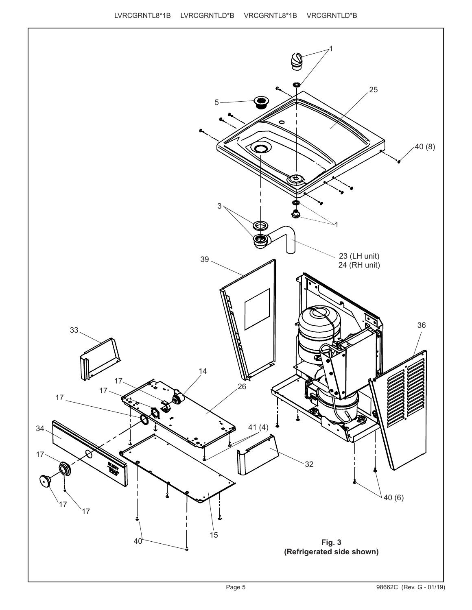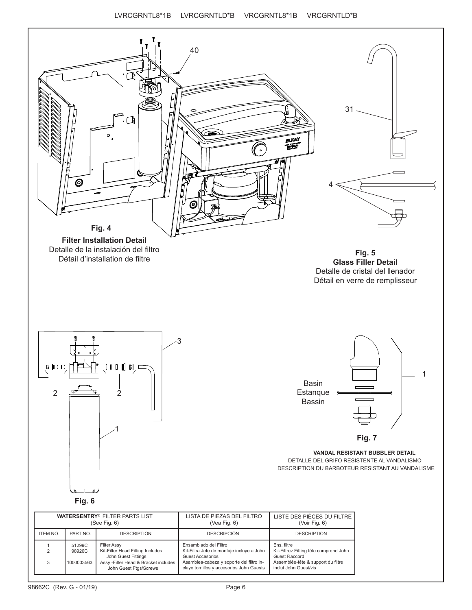